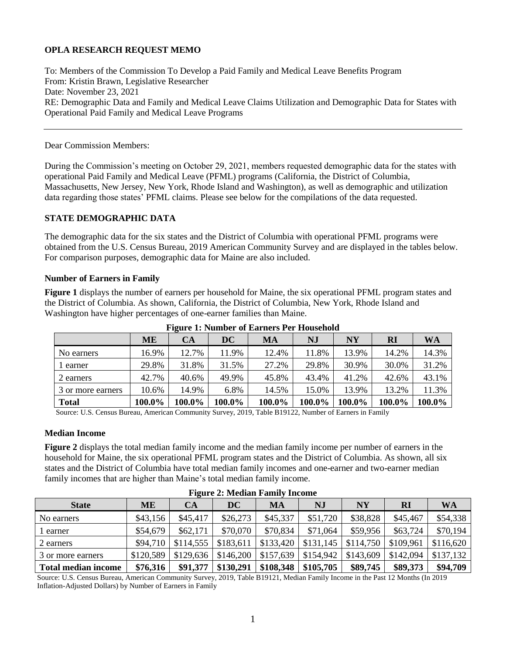# **OPLA RESEARCH REQUEST MEMO**

To: Members of the Commission To Develop a Paid Family and Medical Leave Benefits Program From: Kristin Brawn, Legislative Researcher Date: November 23, 2021 RE: Demographic Data and Family and Medical Leave Claims Utilization and Demographic Data for States with Operational Paid Family and Medical Leave Programs

Dear Commission Members:

During the Commission's meeting on October 29, 2021, members requested demographic data for the states with operational Paid Family and Medical Leave (PFML) programs (California, the District of Columbia, Massachusetts, New Jersey, New York, Rhode Island and Washington), as well as demographic and utilization data regarding those states' PFML claims. Please see below for the compilations of the data requested.

# **STATE DEMOGRAPHIC DATA**

The demographic data for the six states and the District of Columbia with operational PFML programs were obtained from the U.S. Census Bureau, 2019 American Community Survey and are displayed in the tables below. For comparison purposes, demographic data for Maine are also included.

### **Number of Earners in Family**

**Figure 1** displays the number of earners per household for Maine, the six operational PFML program states and the District of Columbia. As shown, California, the District of Columbia, New York, Rhode Island and Washington have higher percentages of one-earner families than Maine.

|                   | ME     | CA     | <b>DC</b> | MA     | NJ     | <b>NY</b> | RI     | <b>WA</b> |
|-------------------|--------|--------|-----------|--------|--------|-----------|--------|-----------|
| No earners        | 16.9%  | 12.7%  | 11.9%     | 12.4%  | 11.8%  | 13.9%     | 14.2%  | 14.3%     |
| l earner          | 29.8%  | 31.8%  | 31.5%     | 27.2%  | 29.8%  | 30.9%     | 30.0%  | 31.2%     |
| 2 earners         | 42.7%  | 40.6%  | 49.9%     | 45.8%  | 43.4%  | 41.2%     | 42.6%  | 43.1%     |
| 3 or more earners | 10.6%  | 14.9%  | 6.8%      | 14.5%  | 15.0%  | 13.9%     | 13.2%  | 11.3%     |
| <b>Total</b>      | 100.0% | 100.0% | 100.0%    | 100.0% | 100.0% | 100.0%    | 100.0% | 100.0%    |

**Figure 1: Number of Earners Per Household**

Source: U.S. Census Bureau, American Community Survey, 2019, Table B19122, Number of Earners in Family

### **Median Income**

**Figure 2** displays the total median family income and the median family income per number of earners in the household for Maine, the six operational PFML program states and the District of Columbia. As shown, all six states and the District of Columbia have total median family incomes and one-earner and two-earner median family incomes that are higher than Maine's total median family income.

|                            | Treate 2: Median I annity Income |           |           |           |           |           |              |           |
|----------------------------|----------------------------------|-----------|-----------|-----------|-----------|-----------|--------------|-----------|
| <b>State</b>               | ME                               | <b>CA</b> | DC        | MA        | NJ        | <b>NY</b> | $\mathbf{R}$ | <b>WA</b> |
| No earners                 | \$43,156                         | \$45,417  | \$26,273  | \$45,337  | \$51,720  | \$38,828  | \$45,467     | \$54,338  |
| l earner                   | \$54,679                         | \$62,171  | \$70,070  | \$70,834  | \$71,064  | \$59,956  | \$63,724     | \$70,194  |
| 2 earners                  | \$94,710                         | \$114,555 | \$183,611 | \$133,420 | \$131,145 | \$114,750 | \$109,961    | \$116,620 |
| 3 or more earners          | \$120,589                        | \$129,636 | \$146,200 | \$157,639 | \$154,942 | \$143,609 | \$142,094    | \$137,132 |
| <b>Total median income</b> | \$76,316                         | \$91,377  | \$130,291 | \$108,348 | \$105,705 | \$89,745  | \$89,373     | \$94,709  |

# **Figure 2: Median Family Income**

Source: U.S. Census Bureau, American Community Survey, 2019, Table B19121, Median Family Income in the Past 12 Months (In 2019 Inflation-Adjusted Dollars) by Number of Earners in Family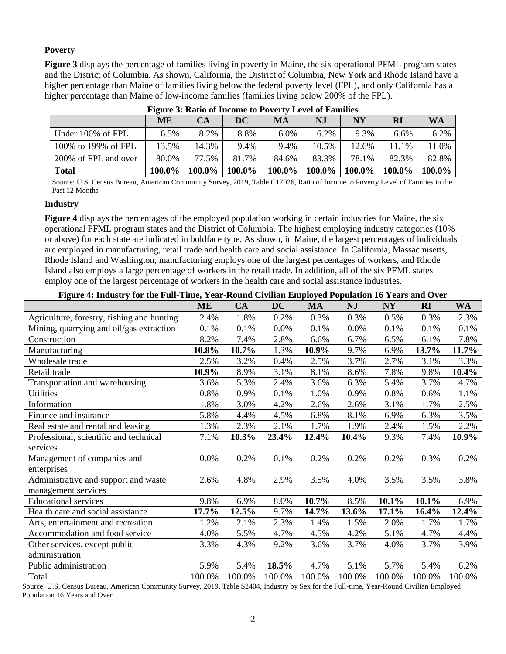## **Poverty**

**Figure 3** displays the percentage of families living in poverty in Maine, the six operational PFML program states and the District of Columbia. As shown, California, the District of Columbia, New York and Rhode Island have a higher percentage than Maine of families living below the federal poverty level (FPL), and only California has a higher percentage than Maine of low-income families (families living below 200% of the FPL).

|                      | <b>ME</b> | CA        | DC     | <b>MA</b> | N.I     | NY     | RI     | <b>WA</b> |
|----------------------|-----------|-----------|--------|-----------|---------|--------|--------|-----------|
| Under 100% of FPL    | 6.5%      | 8.2%      | 8.8%   | 6.0%      | $6.2\%$ | 9.3%   | 6.6%   | 6.2%      |
| 100% to 199% of FPL  | 13.5%     | 14.3%     | 9.4%   | 9.4%      | 10.5%   | 12.6%  | 11.1%  | 11.0%     |
| 200% of FPL and over | 80.0%     | 77.5%     | 81.7%  | 84.6%     | 83.3%   | 78.1%  | 82.3%  | 82.8%     |
| <b>Total</b>         | 100.0%    | $100.0\%$ | 100.0% | 100.0%    | 100.0%  | 100.0% | 100.0% | 100.0%    |

**Figure 3: Ratio of Income to Poverty Level of Families**

Source: U.S. Census Bureau, American Community Survey, 2019, Table C17026, Ratio of Income to Poverty Level of Families in the Past 12 Months

### **Industry**

**Figure 4** displays the percentages of the employed population working in certain industries for Maine, the six operational PFML program states and the District of Columbia. The highest employing industry categories (10% or above) for each state are indicated in boldface type. As shown, in Maine, the largest percentages of individuals are employed in manufacturing, retail trade and health care and social assistance. In California, Massachusetts, Rhode Island and Washington, manufacturing employs one of the largest percentages of workers, and Rhode Island also employs a large percentage of workers in the retail trade. In addition, all of the six PFML states employ one of the largest percentage of workers in the health care and social assistance industries.

### **Figure 4: Industry for the Full-Time, Year-Round Civilian Employed Population 16 Years and Over**

|                                            | <b>ME</b> | CA     | <b>DC</b> | MA     | <b>NJ</b> | <b>NY</b> | RI     | WA       |
|--------------------------------------------|-----------|--------|-----------|--------|-----------|-----------|--------|----------|
| Agriculture, forestry, fishing and hunting | 2.4%      | 1.8%   | 0.2%      | 0.3%   | 0.3%      | 0.5%      | 0.3%   | 2.3%     |
| Mining, quarrying and oil/gas extraction   | 0.1%      | 0.1%   | 0.0%      | 0.1%   | 0.0%      | 0.1%      | 0.1%   | 0.1%     |
| Construction                               | 8.2%      | 7.4%   | 2.8%      | 6.6%   | 6.7%      | 6.5%      | 6.1%   | 7.8%     |
| Manufacturing                              | 10.8%     | 10.7%  | 1.3%      | 10.9%  | 9.7%      | 6.9%      | 13.7%  | 11.7%    |
| Wholesale trade                            | 2.5%      | 3.2%   | 0.4%      | 2.5%   | 3.7%      | 2.7%      | 3.1%   | 3.3%     |
| Retail trade                               | 10.9%     | 8.9%   | 3.1%      | 8.1%   | 8.6%      | 7.8%      | 9.8%   | $10.4\%$ |
| Transportation and warehousing             | 3.6%      | 5.3%   | 2.4%      | 3.6%   | 6.3%      | 5.4%      | 3.7%   | 4.7%     |
| <b>Utilities</b>                           | 0.8%      | 0.9%   | 0.1%      | 1.0%   | 0.9%      | 0.8%      | 0.6%   | 1.1%     |
| Information                                | 1.8%      | 3.0%   | 4.2%      | 2.6%   | 2.6%      | 3.1%      | 1.7%   | 2.5%     |
| Finance and insurance                      | 5.8%      | 4.4%   | 4.5%      | 6.8%   | 8.1%      | 6.9%      | 6.3%   | 3.5%     |
| Real estate and rental and leasing         | 1.3%      | 2.3%   | 2.1%      | 1.7%   | 1.9%      | 2.4%      | 1.5%   | 2.2%     |
| Professional, scientific and technical     | 7.1%      | 10.3%  | 23.4%     | 12.4%  | 10.4%     | 9.3%      | 7.4%   | 10.9%    |
| services                                   |           |        |           |        |           |           |        |          |
| Management of companies and                | 0.0%      | 0.2%   | 0.1%      | 0.2%   | 0.2%      | 0.2%      | 0.3%   | 0.2%     |
| enterprises                                |           |        |           |        |           |           |        |          |
| Administrative and support and waste       | 2.6%      | 4.8%   | 2.9%      | 3.5%   | 4.0%      | 3.5%      | 3.5%   | 3.8%     |
| management services                        |           |        |           |        |           |           |        |          |
| <b>Educational services</b>                | 9.8%      | 6.9%   | 8.0%      | 10.7%  | 8.5%      | 10.1%     | 10.1%  | 6.9%     |
| Health care and social assistance          | 17.7%     | 12.5%  | 9.7%      | 14.7%  | 13.6%     | 17.1%     | 16.4%  | 12.4%    |
| Arts, entertainment and recreation         | 1.2%      | 2.1%   | 2.3%      | 1.4%   | 1.5%      | 2.0%      | 1.7%   | 1.7%     |
| Accommodation and food service             | 4.0%      | 5.5%   | 4.7%      | 4.5%   | 4.2%      | 5.1%      | 4.7%   | 4.4%     |
| Other services, except public              | 3.3%      | 4.3%   | 9.2%      | 3.6%   | 3.7%      | 4.0%      | 3.7%   | 3.9%     |
| administration                             |           |        |           |        |           |           |        |          |
| Public administration                      | 5.9%      | 5.4%   | 18.5%     | 4.7%   | 5.1%      | 5.7%      | 5.4%   | 6.2%     |
| Total                                      | 100.0%    | 100.0% | 100.0%    | 100.0% | 100.0%    | 100.0%    | 100.0% | 100.0%   |

Source: U.S. Census Bureau, American Community Survey, 2019, Table S2404, Industry by Sex for the Full-time, Year-Round Civilian Employed Population 16 Years and Over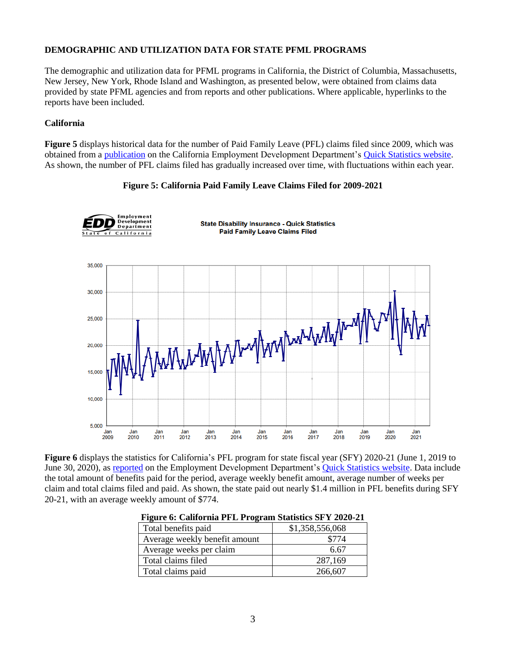# **DEMOGRAPHIC AND UTILIZATION DATA FOR STATE PFML PROGRAMS**

The demographic and utilization data for PFML programs in California, the District of Columbia, Massachusetts, New Jersey, New York, Rhode Island and Washington, as presented below, were obtained from claims data provided by state PFML agencies and from reports and other publications. Where applicable, hyperlinks to the reports have been included.

## **California**

**Figure 5** displays historical data for the number of Paid Family Leave (PFL) claims filed since 2009, which was obtained from a [publication](https://edd.ca.gov/about_edd/pdf/qspfl_Claims_Filed.pdf) on the California Employment Development Department's [Quick Statistics website.](https://edd.ca.gov/about_edd/Quick_Statistics.htm#DIStatistics) As shown, the number of PFL claims filed has gradually increased over time, with fluctuations within each year.

### **Figure 5: California Paid Family Leave Claims Filed for 2009-2021**



**Figure 6** displays the statistics for California's PFL program for state fiscal year (SFY) 2020-21 (June 1, 2019 to June 30, 2020), as [reported](https://edd.ca.gov/about_edd/pdf/qspfl_PFL_Program_Statistics.pdf) on the Employment Development Department's **Quick Statistics website**. Data include the total amount of benefits paid for the period, average weekly benefit amount, average number of weeks per claim and total claims filed and paid. As shown, the state paid out nearly \$1.4 million in PFL benefits during SFY 20-21, with an average weekly amount of \$774.

| Pigult 0. Cambi ma 1 PL 1 rogram Stausucs SP 1 2020-21 |                 |  |  |  |  |  |
|--------------------------------------------------------|-----------------|--|--|--|--|--|
| Total benefits paid                                    | \$1,358,556,068 |  |  |  |  |  |
| Average weekly benefit amount                          | \$774           |  |  |  |  |  |
| Average weeks per claim                                | 6.67            |  |  |  |  |  |
| Total claims filed                                     | 287,169         |  |  |  |  |  |
| Total claims paid                                      | 266,607         |  |  |  |  |  |

|  | Figure 6: California PFL Program Statistics SFY 2020-21 |  |  |
|--|---------------------------------------------------------|--|--|
|  |                                                         |  |  |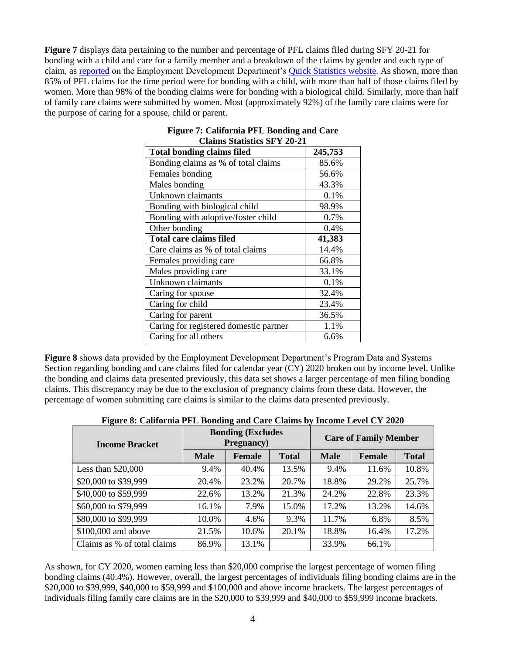**Figure 7** displays data pertaining to the number and percentage of PFL claims filed during SFY 20-21 for bonding with a child and care for a family member and a breakdown of the claims by gender and each type of claim, as [reported](https://edd.ca.gov/about_edd/pdf/qspfl_PFL_Program_Statistics.pdf) on the Employment Development Department's [Quick Statistics website.](https://edd.ca.gov/about_edd/Quick_Statistics.htm#DIStatistics) As shown, more than 85% of PFL claims for the time period were for bonding with a child, with more than half of those claims filed by women. More than 98% of the bonding claims were for bonding with a biological child. Similarly, more than half of family care claims were submitted by women. Most (approximately 92%) of the family care claims were for the purpose of caring for a spouse, child or parent.

| <b>Total bonding claims filed</b>      | 245,753 |
|----------------------------------------|---------|
| Bonding claims as % of total claims    | 85.6%   |
| Females bonding                        | 56.6%   |
| Males bonding                          | 43.3%   |
| Unknown claimants                      | 0.1%    |
| Bonding with biological child          | 98.9%   |
| Bonding with adoptive/foster child     | 0.7%    |
| Other bonding                          | 0.4%    |
| <b>Total care claims filed</b>         | 41,383  |
| Care claims as % of total claims       | 14.4%   |
| Females providing care                 | 66.8%   |
| Males providing care                   | 33.1%   |
| Unknown claimants                      | 0.1%    |
| Caring for spouse                      | 32.4%   |
| Caring for child                       | 23.4%   |
| Caring for parent                      | 36.5%   |
| Caring for registered domestic partner | 1.1%    |
| Caring for all others                  | 6.6%    |

#### **Figure 7: California PFL Bonding and Care Claims Statistics SFY 20-21**

**Figure 8** shows data provided by the Employment Development Department's Program Data and Systems Section regarding bonding and care claims filed for calendar year (CY) 2020 broken out by income level. Unlike the bonding and claims data presented previously, this data set shows a larger percentage of men filing bonding claims. This discrepancy may be due to the exclusion of pregnancy claims from these data. However, the percentage of women submitting care claims is similar to the claims data presented previously.

| <b>Income Bracket</b>       |             | <b>Bonding (Excludes</b><br><b>Pregnancy</b> ) |              | <b>Care of Family Member</b> |               |              |  |  |
|-----------------------------|-------------|------------------------------------------------|--------------|------------------------------|---------------|--------------|--|--|
|                             | <b>Male</b> | <b>Female</b>                                  | <b>Total</b> | <b>Male</b>                  | <b>Female</b> | <b>Total</b> |  |  |
| Less than $$20,000$         | 9.4%        | 40.4%                                          | 13.5%        | 9.4%                         | 11.6%         | 10.8%        |  |  |
| \$20,000 to \$39,999        | 20.4%       | 23.2%                                          | 20.7%        | 18.8%                        | 29.2%         | 25.7%        |  |  |
| \$40,000 to \$59,999        | 22.6%       | 13.2%                                          | 21.3%        | 24.2%                        | 22.8%         | 23.3%        |  |  |
| \$60,000 to \$79,999        | 16.1%       | 7.9%                                           | 15.0%        | 17.2%                        | 13.2%         | 14.6%        |  |  |
| \$80,000 to \$99,999        | 10.0%       | 4.6%                                           | 9.3%         | 11.7%                        | 6.8%          | 8.5%         |  |  |
| \$100,000 and above         | 21.5%       | 10.6%                                          | 20.1%        | 18.8%                        | 16.4%         | 17.2%        |  |  |
| Claims as % of total claims | 86.9%       | 13.1%                                          |              | 33.9%                        | 66.1%         |              |  |  |

| Figure 8: California PFL Bonding and Care Claims by Income Level CY 2020 |  |  |
|--------------------------------------------------------------------------|--|--|

As shown, for CY 2020, women earning less than \$20,000 comprise the largest percentage of women filing bonding claims (40.4%). However, overall, the largest percentages of individuals filing bonding claims are in the \$20,000 to \$39,999, \$40,000 to \$59,999 and \$100,000 and above income brackets. The largest percentages of individuals filing family care claims are in the \$20,000 to \$39,999 and \$40,000 to \$59,999 income brackets.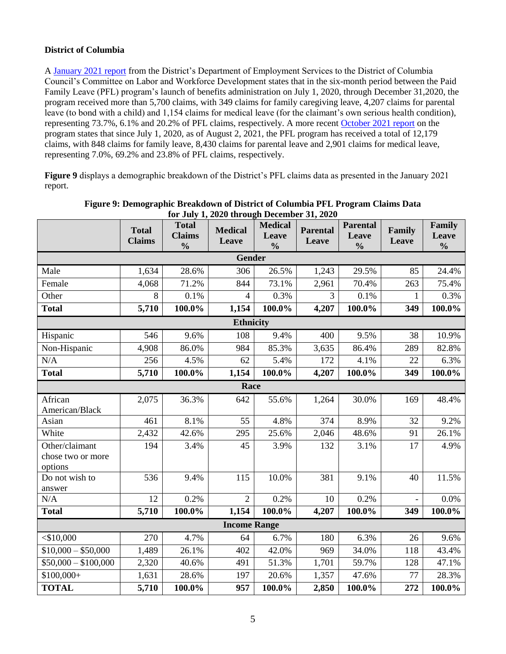# **District of Columbia**

A [January 2021 report](https://d3n8a8pro7vhmx.cloudfront.net/silverman/pages/1520/attachments/original/1611202998/DOES_PFL_Pre-Roundtable_Written_Responses_Final.pdf) from the District's Department of Employment Services to the District of Columbia Council's Committee on Labor and Workforce Development states that in the six-month period between the Paid Family Leave (PFL) program's launch of benefits administration on July 1, 2020, through December 31,2020, the program received more than 5,700 claims, with 349 claims for family caregiving leave, 4,207 claims for parental leave (to bond with a child) and 1,154 claims for medical leave (for the claimant's own serious health condition), representing 73.7%, 6.1% and 20.2% of PFL claims, respectively. A more recent [October 2021 report](https://does.dc.gov/sites/default/files/dc/sites/does/publication/attachments/DOES%20-%20Paid%20Family%20Leave%20FY21%20Q4%20Report_.pdf) on the program states that since July 1, 2020, as of August 2, 2021, the PFL program has received a total of 12,179 claims, with 848 claims for family leave, 8,430 claims for parental leave and 2,901 claims for medical leave, representing 7.0%, 69.2% and 23.8% of PFL claims, respectively.

**Figure 9** displays a demographic breakdown of the District's PFL claims data as presented in the January 2021 report.

|                                                | <b>Total</b><br><b>Claims</b> | <b>Total</b><br><b>Claims</b><br>$\frac{0}{0}$ | <b>Medical</b><br>Leave | <b>Medical</b><br>Leave<br>$\frac{0}{0}$ | <b>Parental</b><br>Leave | <b>Parental</b><br>Leave<br>$\frac{0}{0}$ | Family<br>Leave | Family<br>Leave<br>$\frac{0}{0}$ |
|------------------------------------------------|-------------------------------|------------------------------------------------|-------------------------|------------------------------------------|--------------------------|-------------------------------------------|-----------------|----------------------------------|
|                                                |                               |                                                | <b>Gender</b>           |                                          |                          |                                           |                 |                                  |
| Male                                           | 1,634                         | 28.6%                                          | 306                     | 26.5%                                    | 1,243                    | 29.5%                                     | 85              | 24.4%                            |
| Female                                         | 4,068                         | 71.2%                                          | 844                     | 73.1%                                    | 2,961                    | 70.4%                                     | 263             | 75.4%                            |
| Other                                          | 8                             | 0.1%                                           | $\overline{4}$          | 0.3%                                     | 3                        | 0.1%                                      | $\mathbf{1}$    | 0.3%                             |
| <b>Total</b>                                   | 5,710                         | 100.0%                                         | 1,154                   | 100.0%                                   | 4,207                    | 100.0%                                    | 349             | 100.0%                           |
|                                                |                               |                                                | <b>Ethnicity</b>        |                                          |                          |                                           |                 |                                  |
| Hispanic                                       | 546                           | 9.6%                                           | 108                     | 9.4%                                     | 400                      | 9.5%                                      | 38              | 10.9%                            |
| Non-Hispanic                                   | 4,908                         | 86.0%                                          | 984                     | 85.3%                                    | 3,635                    | 86.4%                                     | 289             | 82.8%                            |
| N/A                                            | 256                           | 4.5%                                           | 62                      | 5.4%                                     | 172                      | 4.1%                                      | 22              | 6.3%                             |
| <b>Total</b>                                   | 5,710                         | 100.0%                                         | 1,154                   | 100.0%                                   | 4,207                    | 100.0%                                    | 349             | 100.0%                           |
| Race                                           |                               |                                                |                         |                                          |                          |                                           |                 |                                  |
| African<br>American/Black                      | 2,075                         | 36.3%                                          | 642                     | 55.6%                                    | 1,264                    | 30.0%                                     | 169             | 48.4%                            |
| Asian                                          | 461                           | 8.1%                                           | 55                      | 4.8%                                     | 374                      | 8.9%                                      | 32              | 9.2%                             |
| White                                          | 2,432                         | 42.6%                                          | 295                     | 25.6%                                    | 2,046                    | 48.6%                                     | 91              | 26.1%                            |
| Other/claimant<br>chose two or more<br>options | 194                           | 3.4%                                           | 45                      | 3.9%                                     | 132                      | 3.1%                                      | 17              | 4.9%                             |
| Do not wish to<br>answer                       | 536                           | 9.4%                                           | 115                     | 10.0%                                    | 381                      | 9.1%                                      | 40              | 11.5%                            |
| N/A                                            | 12                            | 0.2%                                           | $\overline{2}$          | 0.2%                                     | 10                       | 0.2%                                      | $\overline{a}$  | 0.0%                             |
| <b>Total</b>                                   | 5,710                         | 100.0%                                         | 1,154                   | 100.0%                                   | 4,207                    | 100.0%                                    | 349             | 100.0%                           |
|                                                |                               |                                                | <b>Income Range</b>     |                                          |                          |                                           |                 |                                  |
| $<$ \$10,000                                   | 270                           | 4.7%                                           | 64                      | 6.7%                                     | 180                      | 6.3%                                      | 26              | 9.6%                             |
| $$10,000 - $50,000$                            | 1,489                         | 26.1%                                          | 402                     | 42.0%                                    | 969                      | 34.0%                                     | 118             | 43.4%                            |
| $$50,000 - $100,000$                           | 2,320                         | 40.6%                                          | 491                     | 51.3%                                    | 1,701                    | 59.7%                                     | 128             | 47.1%                            |
| $$100,000+$                                    | 1,631                         | 28.6%                                          | 197                     | 20.6%                                    | 1,357                    | 47.6%                                     | 77              | 28.3%                            |
| <b>TOTAL</b>                                   | 5,710                         | 100.0%                                         | 957                     | 100.0%                                   | 2,850                    | 100.0%                                    | 272             | 100.0%                           |

**Figure 9: Demographic Breakdown of District of Columbia PFL Program Claims Data for July 1, 2020 through December 31, 2020**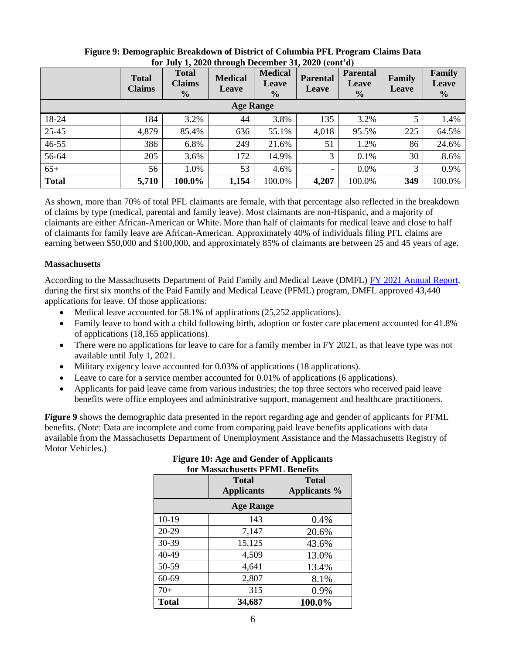|              | <b>Total</b><br><b>Claims</b> | <b>Total</b><br><b>Claims</b><br>$\frac{0}{0}$ | <b>Medical</b><br><b>Leave</b> | <b>Medical</b><br><b>Leave</b><br>$\frac{6}{6}$ | <b>Parental</b><br>Leave | <b>Parental</b><br><b>Leave</b><br>$\frac{0}{0}$ | Family<br>Leave | Family<br>Leave<br>$\frac{0}{0}$ |
|--------------|-------------------------------|------------------------------------------------|--------------------------------|-------------------------------------------------|--------------------------|--------------------------------------------------|-----------------|----------------------------------|
|              |                               |                                                | <b>Age Range</b>               |                                                 |                          |                                                  |                 |                                  |
| 18-24        | 184                           | 3.2%                                           | 44                             | 3.8%                                            | 135                      | 3.2%                                             | 5               | 1.4%                             |
| 25-45        | 4,879                         | 85.4%                                          | 636                            | 55.1%                                           | 4,018                    | 95.5%                                            | 225             | 64.5%                            |
| 46-55        | 386                           | 6.8%                                           | 249                            | 21.6%                                           | 51                       | 1.2%                                             | 86              | 24.6%                            |
| 56-64        | 205                           | 3.6%                                           | 172                            | 14.9%                                           | 3                        | 0.1%                                             | 30              | 8.6%                             |
| $65+$        | 56                            | 1.0%                                           | 53                             | 4.6%                                            | $\qquad \qquad -$        | 0.0%                                             | 3               | 0.9%                             |
| <b>Total</b> | 5,710                         | 100.0%                                         | 1,154                          | 100.0%                                          | 4,207                    | 100.0%                                           | 349             | 100.0%                           |

### **Figure 9: Demographic Breakdown of District of Columbia PFL Program Claims Data for July 1, 2020 through December 31, 2020 (cont'd)**

As shown, more than 70% of total PFL claimants are female, with that percentage also reflected in the breakdown of claims by type (medical, parental and family leave). Most claimants are non-Hispanic, and a majority of claimants are either African-American or White. More than half of claimants for medical leave and close to half of claimants for family leave are African-American. Approximately 40% of individuals filing PFL claims are earning between \$50,000 and \$100,000, and approximately 85% of claimants are between 25 and 45 years of age.

## **Massachusetts**

According to the Massachusetts Department of Paid Family and Medical Leave (DMFL) [FY 2021 Annual Report,](https://www.mass.gov/doc/fy2021-dfml-annual-report/download) during the first six months of the Paid Family and Medical Leave (PFML) program, DMFL approved 43,440 applications for leave. Of those applications:

- Medical leave accounted for 58.1% of applications (25,252 applications).
- Family leave to bond with a child following birth, adoption or foster care placement accounted for 41.8% of applications (18,165 applications).
- There were no applications for leave to care for a family member in FY 2021, as that leave type was not available until July 1, 2021.
- Military exigency leave accounted for 0.03% of applications (18 applications).
- Leave to care for a service member accounted for 0.01% of applications (6 applications).
- Applicants for paid leave came from various industries; the top three sectors who received paid leave benefits were office employees and administrative support, management and healthcare practitioners.

**Figure 9** shows the demographic data presented in the report regarding age and gender of applicants for PFML benefits. (Note: Data are incomplete and come from comparing paid leave benefits applications with data available from the Massachusetts Department of Unemployment Assistance and the Massachusetts Registry of Motor Vehicles.)

|              | Total<br><b>Applicants</b> | <b>Total</b><br>Applicants % |
|--------------|----------------------------|------------------------------|
|              | <b>Age Range</b>           |                              |
| $10-19$      | 143                        | 0.4%                         |
| 20-29        | 7,147                      | 20.6%                        |
| 30-39        | 15,125                     | 43.6%                        |
| 40-49        | 4,509                      | 13.0%                        |
| 50-59        | 4,641                      | 13.4%                        |
| 60-69        | 2,807                      | 8.1%                         |
| $70+$        | 315                        | 0.9%                         |
| <b>Total</b> | 34,687                     | 100.0%                       |

### **Figure 10: Age and Gender of Applicants for Massachusetts PFML Benefits**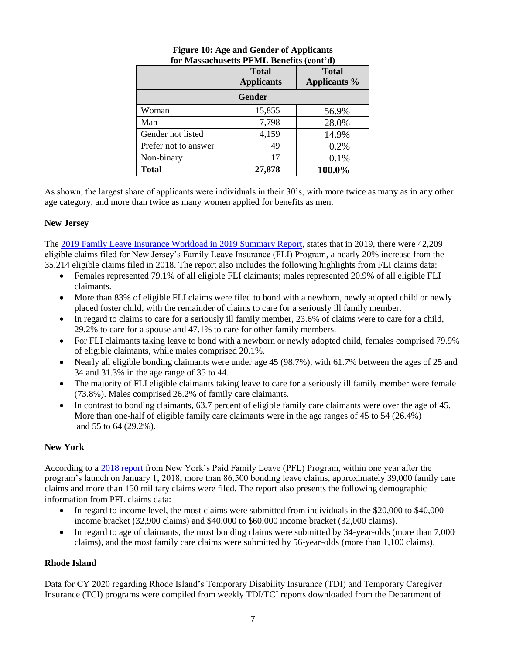|                      | <b>Total</b><br><b>Applicants</b> | <b>Total</b><br><b>Applicants %</b> |
|----------------------|-----------------------------------|-------------------------------------|
| <b>Gender</b>        |                                   |                                     |
| Woman                | 15,855                            | 56.9%                               |
| Man                  | 7,798                             | 28.0%                               |
| Gender not listed    | 4,159                             | 14.9%                               |
| Prefer not to answer | 49                                | 0.2%                                |
| Non-binary           | 17                                | 0.1%                                |
| <b>Total</b>         | 27,878                            | 100.0%                              |

### **Figure 10: Age and Gender of Applicants for Massachusetts PFML Benefits (cont'd)**

As shown, the largest share of applicants were individuals in their 30's, with more twice as many as in any other age category, and more than twice as many women applied for benefits as men.

# **New Jersey**

The [2019 Family Leave Insurance Workload in 2019 Summary Report,](https://www.myleavebenefits.nj.gov/labor/myleavebenefits/assets/pdfs/FLI%20Summary%20Report%20for%202019.pdf) states that in 2019, there were 42,209 eligible claims filed for New Jersey's Family Leave Insurance (FLI) Program, a nearly 20% increase from the 35,214 eligible claims filed in 2018. The report also includes the following highlights from FLI claims data:

- Females represented 79.1% of all eligible FLI claimants; males represented 20.9% of all eligible FLI claimants.
- More than 83% of eligible FLI claims were filed to bond with a newborn, newly adopted child or newly placed foster child, with the remainder of claims to care for a seriously ill family member.
- In regard to claims to care for a seriously ill family member, 23.6% of claims were to care for a child, 29.2% to care for a spouse and 47.1% to care for other family members.
- For FLI claimants taking leave to bond with a newborn or newly adopted child, females comprised 79.9% of eligible claimants, while males comprised 20.1%.
- Nearly all eligible bonding claimants were under age 45 (98.7%), with 61.7% between the ages of 25 and 34 and 31.3% in the age range of 35 to 44.
- The majority of FLI eligible claimants taking leave to care for a seriously ill family member were female (73.8%). Males comprised 26.2% of family care claimants.
- In contrast to bonding claimants, 63.7 percent of eligible family care claimants were over the age of 45. More than one-half of eligible family care claimants were in the age ranges of 45 to 54 (26.4%) and 55 to 64 (29.2%).

# **New York**

According to a [2018 report](https://paidfamilyleave.ny.gov/system/files/documents/2019/08/PFL-EOYReport-2018-v1%207-11-19%20FINAL.pdf) from New York's Paid Family Leave (PFL) Program, within one year after the program's launch on January 1, 2018, more than 86,500 bonding leave claims, approximately 39,000 family care claims and more than 150 military claims were filed. The report also presents the following demographic information from PFL claims data:

- In regard to income level, the most claims were submitted from individuals in the \$20,000 to \$40,000 income bracket (32,900 claims) and \$40,000 to \$60,000 income bracket (32,000 claims).
- In regard to age of claimants, the most bonding claims were submitted by 34-year-olds (more than 7,000 claims), and the most family care claims were submitted by 56-year-olds (more than 1,100 claims).

# **Rhode Island**

Data for CY 2020 regarding Rhode Island's Temporary Disability Insurance (TDI) and Temporary Caregiver Insurance (TCI) programs were compiled from weekly TDI/TCI reports downloaded from the Department of